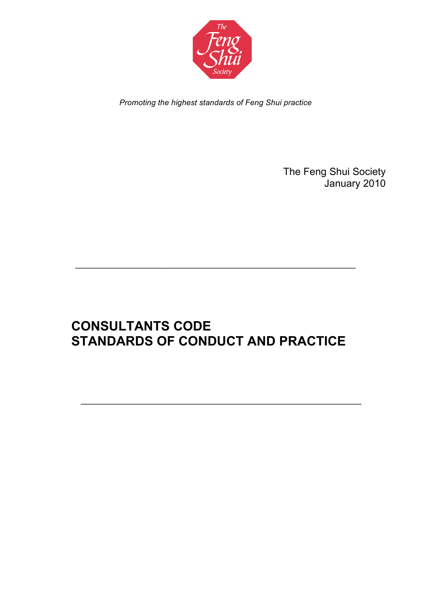

*Promoting the highest standards of Feng Shui practice*

The Feng Shui Society January 2010

# **CONSULTANTS CODE STANDARDS OF CONDUCT AND PRACTICE**

 $\mathcal{L}_\text{max}$  and  $\mathcal{L}_\text{max}$  and  $\mathcal{L}_\text{max}$  and  $\mathcal{L}_\text{max}$  and  $\mathcal{L}_\text{max}$  and  $\mathcal{L}_\text{max}$ 

\_\_\_\_\_\_\_\_\_\_\_\_\_\_\_\_\_\_\_\_\_\_\_\_\_\_\_\_\_\_\_\_\_\_\_\_\_\_\_\_\_\_\_\_\_\_\_\_\_\_\_\_\_\_\_\_\_\_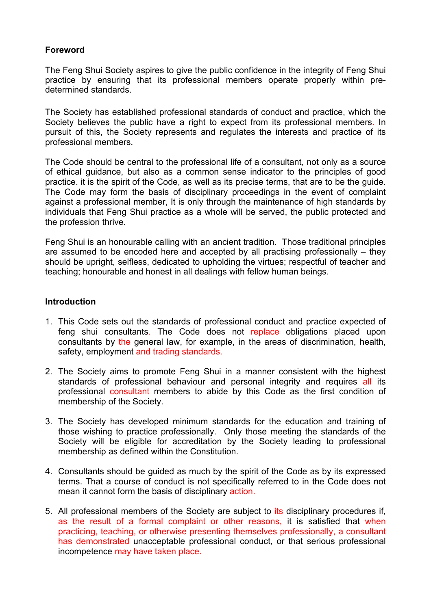# **Foreword**

The Feng Shui Society aspires to give the public confidence in the integrity of Feng Shui practice by ensuring that its professional members operate properly within predetermined standards.

The Society has established professional standards of conduct and practice, which the Society believes the public have a right to expect from its professional members. In pursuit of this, the Society represents and regulates the interests and practice of its professional members.

The Code should be central to the professional life of a consultant, not only as a source of ethical guidance, but also as a common sense indicator to the principles of good practice. it is the spirit of the Code, as well as its precise terms, that are to be the guide. The Code may form the basis of disciplinary proceedings in the event of complaint against a professional member, It is only through the maintenance of high standards by individuals that Feng Shui practice as a whole will be served, the public protected and the profession thrive.

Feng Shui is an honourable calling with an ancient tradition. Those traditional principles are assumed to be encoded here and accepted by all practising professionally – they should be upright, selfless, dedicated to upholding the virtues; respectful of teacher and teaching; honourable and honest in all dealings with fellow human beings.

#### **Introduction**

- 1. This Code sets out the standards of professional conduct and practice expected of feng shui consultants. The Code does not replace obligations placed upon consultants by the general law, for example, in the areas of discrimination, health, safety, employment and trading standards.
- 2. The Society aims to promote Feng Shui in a manner consistent with the highest standards of professional behaviour and personal integrity and requires all its professional consultant members to abide by this Code as the first condition of membership of the Society.
- 3. The Society has developed minimum standards for the education and training of those wishing to practice professionally. Only those meeting the standards of the Society will be eligible for accreditation by the Society leading to professional membership as defined within the Constitution.
- 4. Consultants should be guided as much by the spirit of the Code as by its expressed terms. That a course of conduct is not specifically referred to in the Code does not mean it cannot form the basis of disciplinary action.
- 5. All professional members of the Society are subject to its disciplinary procedures if. as the result of a formal complaint or other reasons, it is satisfied that when practicing, teaching, or otherwise presenting themselves professionally, a consultant has demonstrated unacceptable professional conduct, or that serious professional incompetence may have taken place.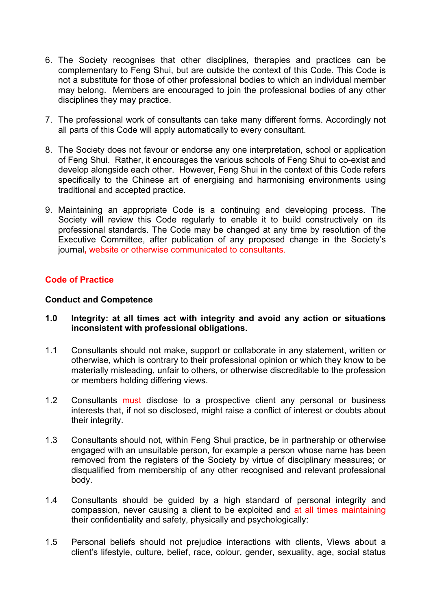- 6. The Society recognises that other disciplines, therapies and practices can be complementary to Feng Shui, but are outside the context of this Code. This Code is not a substitute for those of other professional bodies to which an individual member may belong. Members are encouraged to join the professional bodies of any other disciplines they may practice.
- 7. The professional work of consultants can take many different forms. Accordingly not all parts of this Code will apply automatically to every consultant.
- 8. The Society does not favour or endorse any one interpretation, school or application of Feng Shui. Rather, it encourages the various schools of Feng Shui to co-exist and develop alongside each other. However, Feng Shui in the context of this Code refers specifically to the Chinese art of energising and harmonising environments using traditional and accepted practice.
- 9. Maintaining an appropriate Code is a continuing and developing process. The Society will review this Code regularly to enable it to build constructively on its professional standards. The Code may be changed at any time by resolution of the Executive Committee, after publication of any proposed change in the Society's journal**,** website or otherwise communicated to consultants.

# **Code of Practice**

#### **Conduct and Competence**

- **1.0 Integrity: at all times act with integrity and avoid any action or situations inconsistent with professional obligations.**
- 1.1 Consultants should not make, support or collaborate in any statement, written or otherwise, which is contrary to their professional opinion or which they know to be materially misleading, unfair to others, or otherwise discreditable to the profession or members holding differing views.
- 1.2 Consultants must disclose to a prospective client any personal or business interests that, if not so disclosed, might raise a conflict of interest or doubts about their integrity.
- 1.3 Consultants should not, within Feng Shui practice, be in partnership or otherwise engaged with an unsuitable person, for example a person whose name has been removed from the registers of the Society by virtue of disciplinary measures; or disqualified from membership of any other recognised and relevant professional body.
- 1.4 Consultants should be guided by a high standard of personal integrity and compassion, never causing a client to be exploited and at all times maintaining their confidentiality and safety, physically and psychologically:
- 1.5 Personal beliefs should not prejudice interactions with clients, Views about a client's lifestyle, culture, belief, race, colour, gender, sexuality, age, social status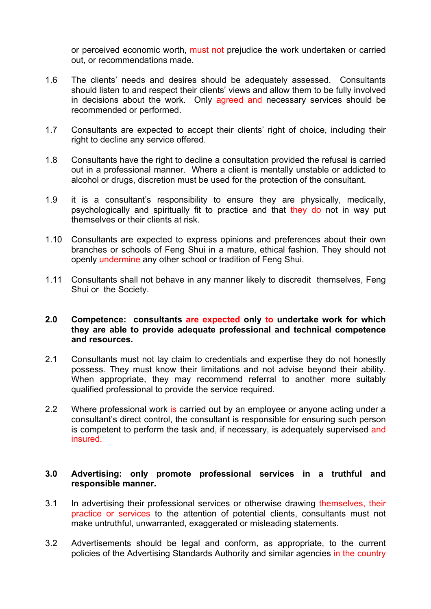or perceived economic worth, must not prejudice the work undertaken or carried out, or recommendations made.

- 1.6 The clients' needs and desires should be adequately assessed. Consultants should listen to and respect their clients' views and allow them to be fully involved in decisions about the work. Only agreed and necessary services should be recommended or performed.
- 1.7 Consultants are expected to accept their clients' right of choice, including their right to decline any service offered.
- 1.8 Consultants have the right to decline a consultation provided the refusal is carried out in a professional manner. Where a client is mentally unstable or addicted to alcohol or drugs, discretion must be used for the protection of the consultant.
- 1.9 it is a consultant's responsibility to ensure they are physically, medically, psychologically and spiritually fit to practice and that they do not in way put themselves or their clients at risk.
- 1.10 Consultants are expected to express opinions and preferences about their own branches or schools of Feng Shui in a mature, ethical fashion. They should not openly undermine any other school or tradition of Feng Shui.
- 1.11 Consultants shall not behave in any manner likely to discredit themselves, Feng Shui or the Society.

#### **2.0 Competence: consultants are expected only to undertake work for which they are able to provide adequate professional and technical competence and resources.**

- 2.1 Consultants must not lay claim to credentials and expertise they do not honestly possess. They must know their limitations and not advise beyond their ability. When appropriate, they may recommend referral to another more suitably qualified professional to provide the service required.
- 2.2 Where professional work is carried out by an employee or anyone acting under a consultant's direct control, the consultant is responsible for ensuring such person is competent to perform the task and, if necessary, is adequately supervised and insured.

#### **3.0 Advertising: only promote professional services in a truthful and responsible manner.**

- 3.1 In advertising their professional services or otherwise drawing themselves, their practice or services to the attention of potential clients, consultants must not make untruthful, unwarranted, exaggerated or misleading statements.
- 3.2 Advertisements should be legal and conform, as appropriate, to the current policies of the Advertising Standards Authority and similar agencies in the country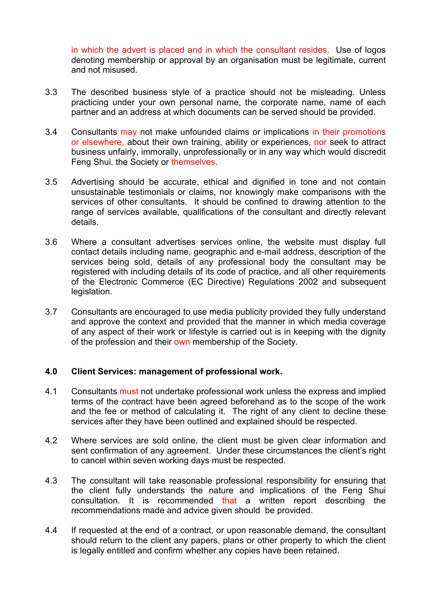in which the advert is placed and in which the consultant resides. Use of logos denoting membership or approval by an organisation must be legitimate, current and not misused.

- 3.3 The described business style of a practice should not be misleading. Unless practicing under your own personal name, the corporate name, name of each partner and an address at which documents can be served should be provided.
- 3.4 Consultants may not make unfounded claims or implications in their promotions or elsewhere, about their own training, ability or experiences, nor seek to attract business unfairly, immorally, unprofessionally or in any way which would discredit Feng Shui, the Society or themselves.
- 3.5 Advertising should be accurate, ethical and dignified in tone and not contain unsustainable testimonials or claims, nor knowingly make comparisons with the services of other consultants. It should be confined to drawing attention to the range of services available, qualifications of the consultant and directly relevant details.
- 3.6 Where a consultant advertises services online, the website must display full contact details including name, geographic and e-mail address, description of the services being sold, details of any professional body the consultant may be registered with including details of its code of practice, and all other requirements of the Electronic Commerce (EC Directive) Regulations 2002 and subsequent legislation.
- 3.7 Consultants are encouraged to use media publicity provided they fully understand and approve the context and provided that the manner in which media coverage of any aspect of their work or lifestyle is carried out is in keeping with the dignity of the profession and their own membership of the Society.

## **4.0 Client Services: management of professional work.**

- 4.1 Consultants must not undertake professional work unless the express and implied terms of the contract have been agreed beforehand as to the scope of the work and the fee or method of calculating it. The right of any client to decline these services after they have been outlined and explained should be respected.
- 4.2 Where services are sold online, the client must be given clear information and sent confirmation of any agreement. Under these circumstances the client's right to cancel within seven working days must be respected.
- 4.3 The consultant will take reasonable professional responsibility for ensuring that the client fully understands the nature and implications of the Feng Shui consultation. It is recommended that a written report describing the recommendations made and advice given should be provided.
- 4.4 If requested at the end of a contract, or upon reasonable demand, the consultant should return to the client any papers, plans or other property to which the client is legally entitled and confirm whether any copies have been retained.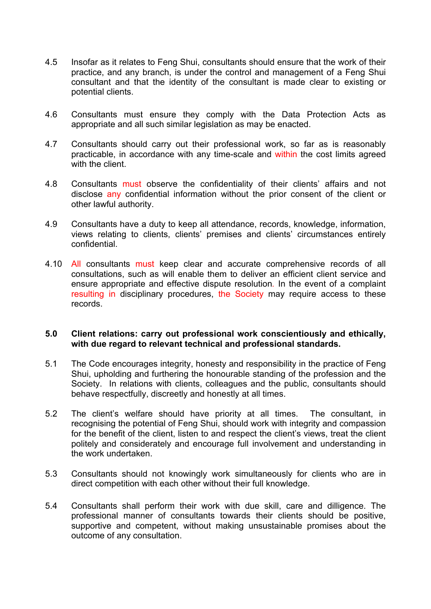- 4.5 Insofar as it relates to Feng Shui, consultants should ensure that the work of their practice, and any branch, is under the control and management of a Feng Shui consultant and that the identity of the consultant is made clear to existing or potential clients.
- 4.6 Consultants must ensure they comply with the Data Protection Acts as appropriate and all such similar legislation as may be enacted.
- 4.7 Consultants should carry out their professional work, so far as is reasonably practicable, in accordance with any time-scale and within the cost limits agreed with the client.
- 4.8 Consultants must observe the confidentiality of their clients' affairs and not disclose any confidential information without the prior consent of the client or other lawful authority.
- 4.9 Consultants have a duty to keep all attendance, records, knowledge, information, views relating to clients, clients' premises and clients' circumstances entirely confidential.
- 4.10 All consultants must keep clear and accurate comprehensive records of all consultations, such as will enable them to deliver an efficient client service and ensure appropriate and effective dispute resolution*.* In the event of a complaint resulting in disciplinary procedures, the Society may require access to these records.

#### **5.0 Client relations: carry out professional work conscientiously and ethically, with due regard to relevant technical and professional standards.**

- 5.1 The Code encourages integrity, honesty and responsibility in the practice of Feng Shui, upholding and furthering the honourable standing of the profession and the Society. In relations with clients, colleagues and the public, consultants should behave respectfully, discreetly and honestly at all times.
- 5.2 The client's welfare should have priority at all times. The consultant, in recognising the potential of Feng Shui, should work with integrity and compassion for the benefit of the client, listen to and respect the client's views, treat the client politely and considerately and encourage full involvement and understanding in the work undertaken.
- 5.3 Consultants should not knowingly work simultaneously for clients who are in direct competition with each other without their full knowledge.
- 5.4 Consultants shall perform their work with due skill, care and dilligence. The professional manner of consultants towards their clients should be positive, supportive and competent, without making unsustainable promises about the outcome of any consultation.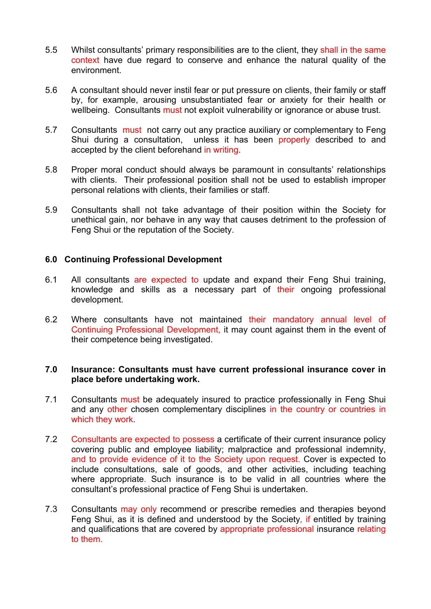- 5.5 Whilst consultants' primary responsibilities are to the client, they shall in the same context have due regard to conserve and enhance the natural quality of the environment.
- 5.6 A consultant should never instil fear or put pressure on clients, their family or staff by, for example, arousing unsubstantiated fear or anxiety for their health or wellbeing. Consultants must not exploit vulnerability or ignorance or abuse trust.
- 5.7 Consultants must not carry out any practice auxiliary or complementary to Feng Shui during a consultation, unless it has been properly described to and accepted by the client beforehand in writing.
- 5.8 Proper moral conduct should always be paramount in consultants' relationships with clients. Their professional position shall not be used to establish improper personal relations with clients, their families or staff.
- 5.9 Consultants shall not take advantage of their position within the Society for unethical gain, nor behave in any way that causes detriment to the profession of Feng Shui or the reputation of the Society.

## **6.0 Continuing Professional Development**

- 6.1 All consultants are expected to update and expand their Feng Shui training, knowledge and skills as a necessary part of their ongoing professional development.
- 6.2 Where consultants have not maintained their mandatory annual level of Continuing Professional Development, it may count against them in the event of their competence being investigated.

## **7.0 Insurance: Consultants must have current professional insurance cover in place before undertaking work.**

- 7.1 Consultants must be adequately insured to practice professionally in Feng Shui and any other chosen complementary disciplines in the country or countries in which they work.
- 7.2 Consultants are expected to possess a certificate of their current insurance policy covering public and employee liability; malpractice and professional indemnity, and to provide evidence of it to the Society upon request. Cover is expected to include consultations, sale of goods, and other activities, including teaching where appropriate. Such insurance is to be valid in all countries where the consultant's professional practice of Feng Shui is undertaken.
- 7.3 Consultants may only recommend or prescribe remedies and therapies beyond Feng Shui, as it is defined and understood by the Society*,* if entitled by training and qualifications that are covered by appropriate professional insurance relating to them.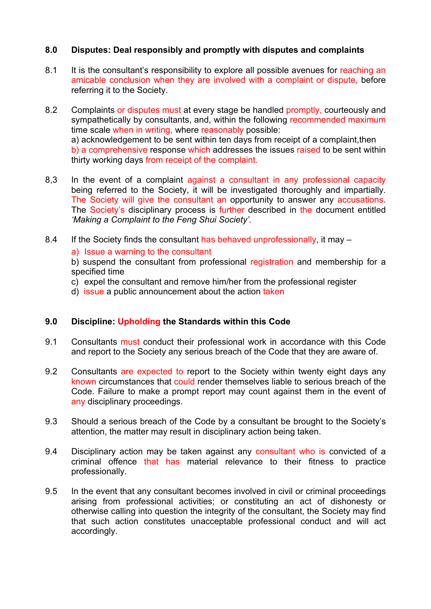# **8.0 Disputes: Deal responsibly and promptly with disputes and complaints**

- 8.1 It is the consultant's responsibility to explore all possible avenues for reaching an amicable conclusion when they are involved with a complaint or dispute, before referring it to the Society.
- 8.2 Complaints or disputes must at every stage be handled promptly, courteously and sympathetically by consultants, and, within the following recommended maximum time scale when in writing, where reasonably possible: a) acknowledgement to be sent within ten days from receipt of a complaint,then b) a comprehensive response which addresses the issues raised to be sent within thirty working days from receipt of the complaint.
- 8,3 In the event of a complaint against a consultant in any professional capacity being referred to the Society, it will be investigated thoroughly and impartially. The Society will give the consultant an opportunity to answer any accusations. The Society's disciplinary process is further described in the document entitled *'Making a Complaint to the Feng Shui Society'.*
- 8.4 If the Society finds the consultant has behaved unprofessionally, it may –

## a) Issue a warning to the consultant

b) suspend the consultant from professional registration and membership for a specified time

- c) expel the consultant and remove him/her from the professional register
- d) issue a public announcement about the action taken

# **9.0 Discipline: Upholding the Standards within this Code**

- 9.1 Consultants must conduct their professional work in accordance with this Code and report to the Society any serious breach of the Code that they are aware of.
- 9.2 Consultants are expected to report to the Society within twenty eight days any known circumstances that could render themselves liable to serious breach of the Code. Failure to make a prompt report may count against them in the event of any disciplinary proceedings.
- 9.3 Should a serious breach of the Code by a consultant be brought to the Society's attention, the matter may result in disciplinary action being taken.
- 9.4 Disciplinary action may be taken against any consultant who is convicted of a criminal offence that has material relevance to their fitness to practice professionally.
- 9.5 In the event that any consultant becomes involved in civil or criminal proceedings arising from professional activities; or constituting an act of dishonesty or otherwise calling into question the integrity of the consultant, the Society may find that such action constitutes unacceptable professional conduct and will act accordingly.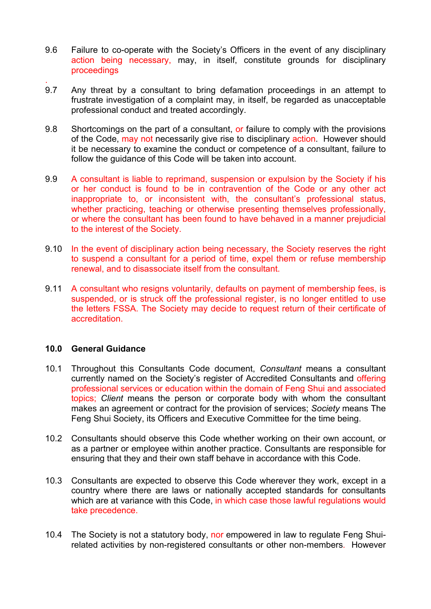- 9.6 Failure to co-operate with the Society's Officers in the event of any disciplinary action being necessary, may, in itself, constitute grounds for disciplinary proceedings
- . 9.7 Any threat by a consultant to bring defamation proceedings in an attempt to frustrate investigation of a complaint may, in itself, be regarded as unacceptable professional conduct and treated accordingly.
- 9.8 Shortcomings on the part of a consultant, or failure to comply with the provisions of the Code, may not necessarily give rise to disciplinary action. However should it be necessary to examine the conduct or competence of a consultant, failure to follow the guidance of this Code will be taken into account.
- 9.9 A consultant is liable to reprimand, suspension or expulsion by the Society if his or her conduct is found to be in contravention of the Code or any other act inappropriate to, or inconsistent with, the consultant's professional status, whether practicing, teaching or otherwise presenting themselves professionally, or where the consultant has been found to have behaved in a manner prejudicial to the interest of the Society.
- 9.10 In the event of disciplinary action being necessary, the Society reserves the right to suspend a consultant for a period of time, expel them or refuse membership renewal, and to disassociate itself from the consultant.
- 9.11 A consultant who resigns voluntarily, defaults on payment of membership fees, is suspended, or is struck off the professional register, is no longer entitled to use the letters FSSA. The Society may decide to request return of their certificate of accreditation.

## **10.0 General Guidance**

- 10.1 Throughout this Consultants Code document, *Consultant* means a consultant currently named on the Society's register of Accredited Consultants and offering professional services or education within the domain of Feng Shui and associated topics; *Client* means the person or corporate body with whom the consultant makes an agreement or contract for the provision of services; *Society* means The Feng Shui Society, its Officers and Executive Committee for the time being.
- 10.2 Consultants should observe this Code whether working on their own account, or as a partner or employee within another practice. Consultants are responsible for ensuring that they and their own staff behave in accordance with this Code.
- 10.3 Consultants are expected to observe this Code wherever they work, except in a country where there are laws or nationally accepted standards for consultants which are at variance with this Code, in which case those lawful regulations would take precedence.
- 10.4 The Society is not a statutory body, nor empowered in law to regulate Feng Shuirelated activities by non-registered consultants or other non-members*.* However